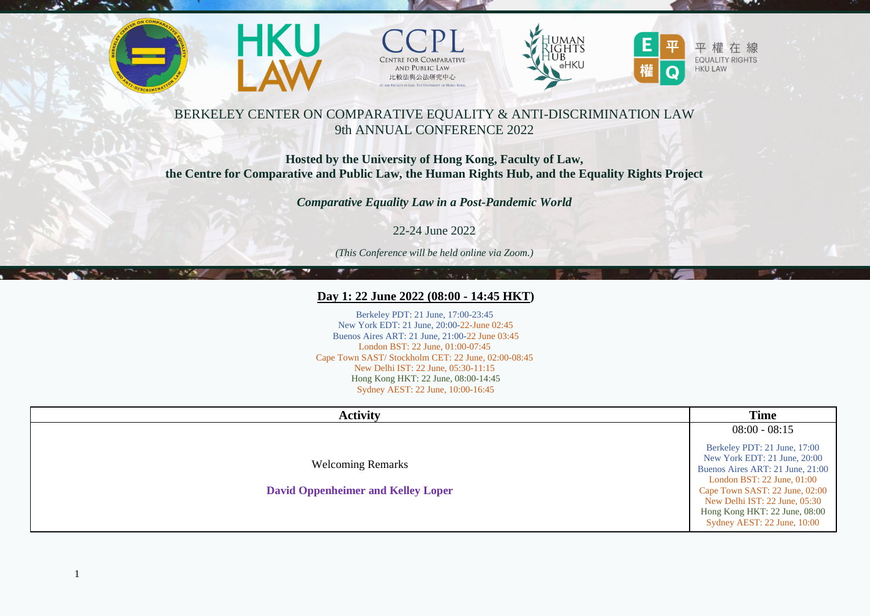

37.28







# BERKELEY CENTER ON COMPARATIVE EQUALITY & ANTI-DISCRIMINATION LAW 9th ANNUAL CONFERENCE 2022

## **Hosted by the University of Hong Kong, Faculty of Law, the Centre for Comparative and Public Law, the Human Rights Hub, and the Equality Rights Project**

*Comparative Equality Law in a Post-Pandemic World*

22-24 June 2022

*(This Conference will be held online via Zoom.)*

## Day 1: 22 June 2022 (08:00 - 14:45 HKT)

Berkeley PDT: 21 June, 17:00-23:45 New York EDT: 21 June, 20:00-22-June 02:45 Buenos Aires ART: 21 June, 21:00-22 June 03:45 London BST: 22 June, 01:00-07:45 Cape Town SAST/ Stockholm CET: 22 June, 02:00-08:45 New Delhi IST: 22 June, 05:30-11:15 Hong Kong HKT: 22 June, 08:00-14:45 Sydney AEST: 22 June, 10:00-16:45

| <b>Activity</b>                                                       | <b>Time</b>                                                                                                                                                                                                                                                           |
|-----------------------------------------------------------------------|-----------------------------------------------------------------------------------------------------------------------------------------------------------------------------------------------------------------------------------------------------------------------|
|                                                                       | $08:00 - 08:15$                                                                                                                                                                                                                                                       |
| <b>Welcoming Remarks</b><br><b>David Oppenheimer and Kelley Loper</b> | Berkeley PDT: 21 June, 17:00<br>New York EDT: 21 June, 20:00<br>Buenos Aires ART: 21 June, 21:00<br>London BST: $22$ June, $01:00$<br>Cape Town SAST: 22 June, 02:00<br>New Delhi IST: 22 June, 05:30<br>Hong Kong HKT: 22 June, 08:00<br>Sydney AEST: 22 June, 10:00 |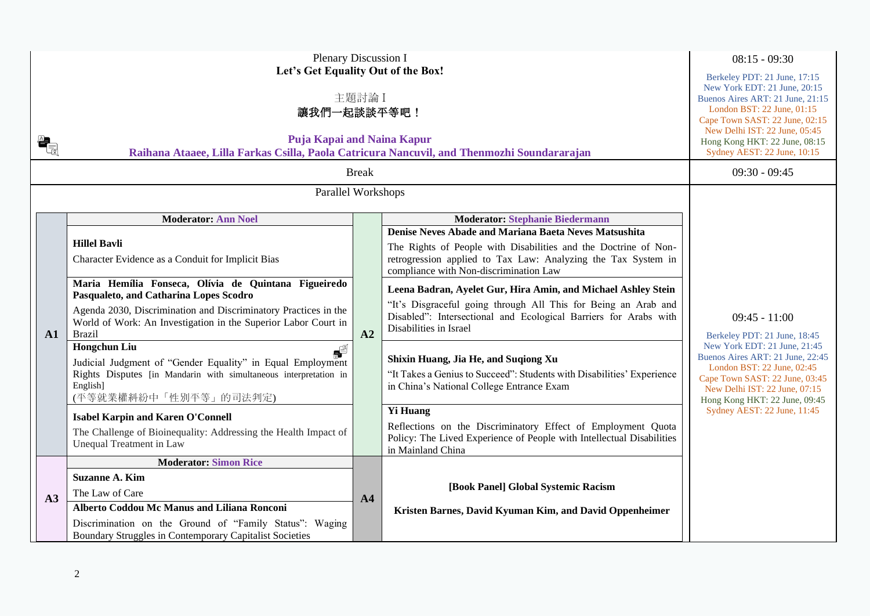| $\begin{matrix} \mathbf{a}_1 \ \hline \mathbf{b}_2 \end{matrix}$ | Plenary Discussion I<br>Let's Get Equality Out of the Box!<br>主題討論 I<br>讓我們一起談談平等吧!<br>Puja Kapai and Naina Kapur<br>Raihana Ataaee, Lilla Farkas Csilla, Paola Catricura Nancuvil, and Thenmozhi Soundararajan<br><b>Break</b>                      |                |                                                                                                                                                                                                                                     |                                                                                                                                                                                                    |  |
|------------------------------------------------------------------|------------------------------------------------------------------------------------------------------------------------------------------------------------------------------------------------------------------------------------------------------|----------------|-------------------------------------------------------------------------------------------------------------------------------------------------------------------------------------------------------------------------------------|----------------------------------------------------------------------------------------------------------------------------------------------------------------------------------------------------|--|
|                                                                  | Parallel Workshops                                                                                                                                                                                                                                   |                |                                                                                                                                                                                                                                     |                                                                                                                                                                                                    |  |
|                                                                  | <b>Moderator: Ann Noel</b>                                                                                                                                                                                                                           |                | <b>Moderator: Stephanie Biedermann</b>                                                                                                                                                                                              |                                                                                                                                                                                                    |  |
|                                                                  | <b>Hillel Bavli</b><br>Character Evidence as a Conduit for Implicit Bias                                                                                                                                                                             |                | Denise Neves Abade and Mariana Baeta Neves Matsushita<br>The Rights of People with Disabilities and the Doctrine of Non-<br>retrogression applied to Tax Law: Analyzing the Tax System in<br>compliance with Non-discrimination Law |                                                                                                                                                                                                    |  |
|                                                                  | Maria Hemília Fonseca, Olívia de Quintana Figueiredo<br>Pasqualeto, and Catharina Lopes Scodro                                                                                                                                                       |                | Leena Badran, Ayelet Gur, Hira Amin, and Michael Ashley Stein                                                                                                                                                                       |                                                                                                                                                                                                    |  |
| A1                                                               | Agenda 2030, Discrimination and Discriminatory Practices in the<br>World of Work: An Investigation in the Superior Labor Court in<br><b>Brazil</b>                                                                                                   | A2             | "It's Disgraceful going through All This for Being an Arab and<br>Disabled": Intersectional and Ecological Barriers for Arabs with<br>Disabilities in Israel                                                                        | $09:45 - 11:00$<br>Berkeley PDT: 21 June, 18:45                                                                                                                                                    |  |
|                                                                  | <b>Hongchun Liu</b><br>$\blacksquare$<br>Judicial Judgment of "Gender Equality" in Equal Employment<br>Rights Disputes [in Mandarin with simultaneous interpretation in<br>English]<br>(平等就業權糾紛中「性別平等」的司法判定)                                         |                | Shixin Huang, Jia He, and Suqiong Xu<br>"It Takes a Genius to Succeed": Students with Disabilities' Experience<br>in China's National College Entrance Exam                                                                         | New York EDT: 21 June, 21:45<br>Buenos Aires ART: 21 June, 22:45<br>London BST: 22 June, 02:45<br>Cape Town SAST: 22 June, 03:45<br>New Delhi IST: 22 June, 07:15<br>Hong Kong HKT: 22 June, 09:45 |  |
|                                                                  | <b>Isabel Karpin and Karen O'Connell</b>                                                                                                                                                                                                             |                | <b>Yi Huang</b>                                                                                                                                                                                                                     | Sydney AEST: 22 June, 11:45                                                                                                                                                                        |  |
|                                                                  | The Challenge of Bioinequality: Addressing the Health Impact of<br>Unequal Treatment in Law                                                                                                                                                          |                | Reflections on the Discriminatory Effect of Employment Quota<br>Policy: The Lived Experience of People with Intellectual Disabilities<br>in Mainland China                                                                          |                                                                                                                                                                                                    |  |
| A3                                                               | <b>Moderator: Simon Rice</b><br><b>Suzanne A. Kim</b><br>The Law of Care<br><b>Alberto Coddou Mc Manus and Liliana Ronconi</b><br>Discrimination on the Ground of "Family Status": Waging<br>Boundary Struggles in Contemporary Capitalist Societies | A <sub>4</sub> | [Book Panel] Global Systemic Racism<br>Kristen Barnes, David Kyuman Kim, and David Oppenheimer                                                                                                                                      |                                                                                                                                                                                                    |  |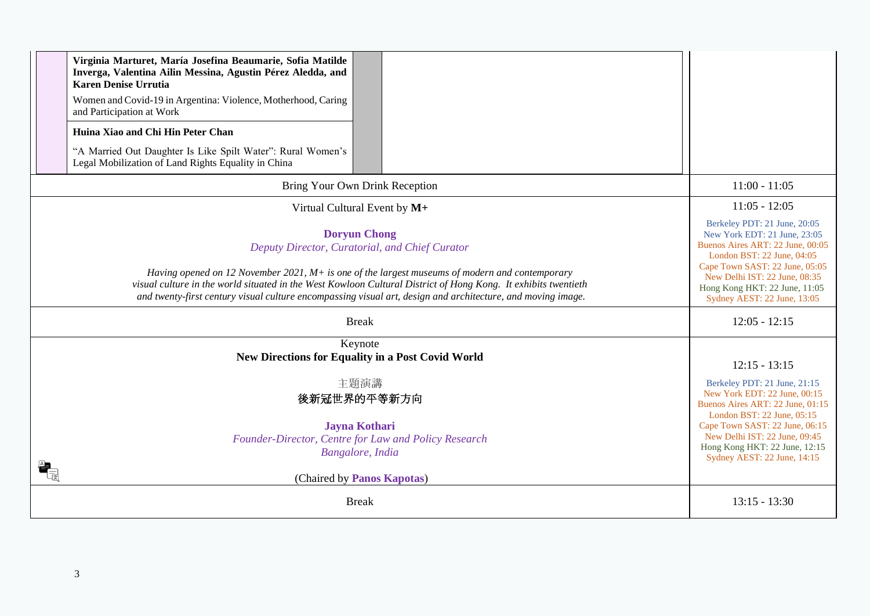| Virginia Marturet, María Josefina Beaumarie, Sofia Matilde<br>Inverga, Valentina Ailin Messina, Agustin Pérez Aledda, and<br><b>Karen Denise Urrutia</b><br>Women and Covid-19 in Argentina: Violence, Motherhood, Caring<br>and Participation at Work<br>Huina Xiao and Chi Hin Peter Chan<br>"A Married Out Daughter Is Like Spilt Water": Rural Women's<br>Legal Mobilization of Land Rights Equality in China |                                                                                                                                                                                                                                                                                      |
|-------------------------------------------------------------------------------------------------------------------------------------------------------------------------------------------------------------------------------------------------------------------------------------------------------------------------------------------------------------------------------------------------------------------|--------------------------------------------------------------------------------------------------------------------------------------------------------------------------------------------------------------------------------------------------------------------------------------|
| Bring Your Own Drink Reception                                                                                                                                                                                                                                                                                                                                                                                    | $11:00 - 11:05$                                                                                                                                                                                                                                                                      |
| Virtual Cultural Event by M+                                                                                                                                                                                                                                                                                                                                                                                      | $11:05 - 12:05$                                                                                                                                                                                                                                                                      |
| <b>Doryun Chong</b><br>Deputy Director, Curatorial, and Chief Curator<br>Having opened on 12 November 2021, $M+$ is one of the largest museums of modern and contemporary<br>visual culture in the world situated in the West Kowloon Cultural District of Hong Kong. It exhibits twentieth<br>and twenty-first century visual culture encompassing visual art, design and architecture, and moving image.        | Berkeley PDT: 21 June, 20:05<br>New York EDT: 21 June, 23:05<br>Buenos Aires ART: 22 June, 00:05<br>London BST: 22 June, 04:05<br>Cape Town SAST: 22 June, 05:05<br>New Delhi IST: 22 June, 08:35<br>Hong Kong HKT: 22 June, 11:05<br>Sydney AEST: 22 June, 13:05                    |
| <b>Break</b>                                                                                                                                                                                                                                                                                                                                                                                                      | $12:05 - 12:15$                                                                                                                                                                                                                                                                      |
| Keynote<br><b>New Directions for Equality in a Post Covid World</b><br>主題演講<br>後新冠世界的平等新方向<br><b>Jayna Kothari</b><br>Founder-Director, Centre for Law and Policy Research<br>Bangalore, India<br>(Chaired by Panos Kapotas)                                                                                                                                                                                      | $12:15 - 13:15$<br>Berkeley PDT: 21 June, 21:15<br>New York EDT: 22 June, 00:15<br>Buenos Aires ART: 22 June, 01:15<br>London BST: 22 June, 05:15<br>Cape Town SAST: 22 June, 06:15<br>New Delhi IST: 22 June, 09:45<br>Hong Kong HKT: 22 June, 12:15<br>Sydney AEST: 22 June, 14:15 |
| <b>Break</b>                                                                                                                                                                                                                                                                                                                                                                                                      | $13:15 - 13:30$                                                                                                                                                                                                                                                                      |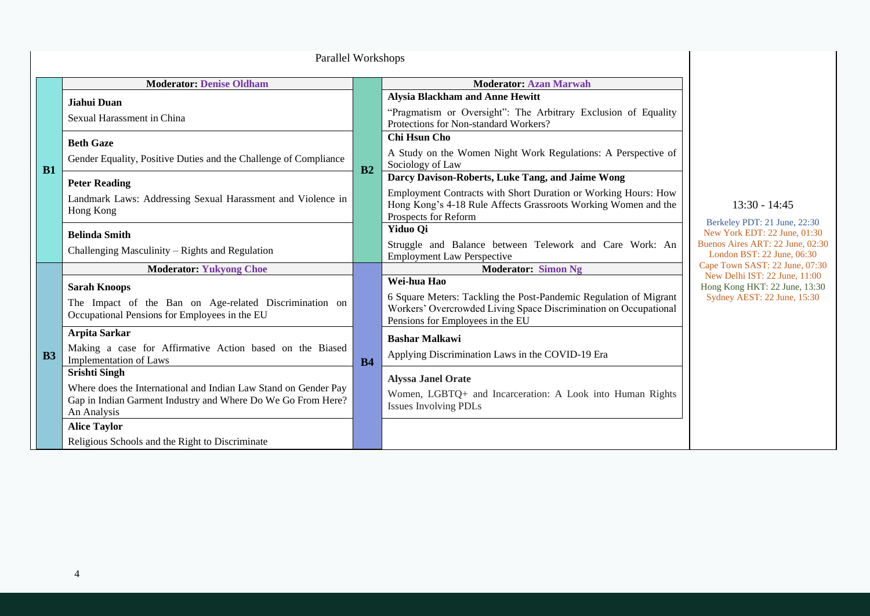|                | Parallel Workshops                                                                                                                                                     |                |                                                                                                                                                                                                              |                                                                                                                                                   |
|----------------|------------------------------------------------------------------------------------------------------------------------------------------------------------------------|----------------|--------------------------------------------------------------------------------------------------------------------------------------------------------------------------------------------------------------|---------------------------------------------------------------------------------------------------------------------------------------------------|
|                | <b>Moderator: Denise Oldham</b>                                                                                                                                        |                | <b>Moderator: Azan Marwah</b>                                                                                                                                                                                |                                                                                                                                                   |
| B1             | Jiahui Duan<br>Sexual Harassment in China                                                                                                                              |                | <b>Alysia Blackham and Anne Hewitt</b><br>"Pragmatism or Oversight": The Arbitrary Exclusion of Equality<br>Protections for Non-standard Workers?                                                            |                                                                                                                                                   |
|                | <b>Beth Gaze</b><br>Gender Equality, Positive Duties and the Challenge of Compliance                                                                                   | B <sub>2</sub> | Chi Hsun Cho<br>A Study on the Women Night Work Regulations: A Perspective of<br>Sociology of Law                                                                                                            |                                                                                                                                                   |
|                | <b>Peter Reading</b><br>Landmark Laws: Addressing Sexual Harassment and Violence in<br>Hong Kong                                                                       |                | Darcy Davison-Roberts, Luke Tang, and Jaime Wong<br>Employment Contracts with Short Duration or Working Hours: How<br>Hong Kong's 4-18 Rule Affects Grassroots Working Women and the<br>Prospects for Reform | $13:30 - 14:45$<br>Berkeley PDT: 21 June, 22:30<br>New York EDT: 22 June, 01:30<br>Buenos Aires ART: 22 June, 02:30<br>London BST: 22 June, 06:30 |
|                | <b>Belinda Smith</b><br>Challenging Masculinity – Rights and Regulation                                                                                                |                | <b>Yiduo Qi</b><br>Struggle and Balance between Telework and Care Work: An<br><b>Employment Law Perspective</b>                                                                                              |                                                                                                                                                   |
|                | <b>Moderator: Yukyong Choe</b>                                                                                                                                         |                | <b>Moderator: Simon Ng</b>                                                                                                                                                                                   | Cape Town SAST: 22 June, 07:30<br>New Delhi IST: 22 June, 11:00                                                                                   |
| B <sub>3</sub> | <b>Sarah Knoops</b><br>The Impact of the Ban on Age-related Discrimination on<br>Occupational Pensions for Employees in the EU                                         |                | Wei-hua Hao<br>6 Square Meters: Tackling the Post-Pandemic Regulation of Migrant<br>Workers' Overcrowded Living Space Discrimination on Occupational<br>Pensions for Employees in the EU                     | Hong Kong HKT: 22 June, 13:30<br>Sydney AEST: 22 June, 15:30                                                                                      |
|                | <b>Arpita Sarkar</b><br>Making a case for Affirmative Action based on the Biased<br><b>Implementation of Laws</b>                                                      | <b>B4</b>      | <b>Bashar Malkawi</b><br>Applying Discrimination Laws in the COVID-19 Era                                                                                                                                    |                                                                                                                                                   |
|                | <b>Srishti Singh</b><br>Where does the International and Indian Law Stand on Gender Pay<br>Gap in Indian Garment Industry and Where Do We Go From Here?<br>An Analysis |                | <b>Alyssa Janel Orate</b><br>Women, LGBTQ+ and Incarceration: A Look into Human Rights<br><b>Issues Involving PDLs</b>                                                                                       |                                                                                                                                                   |
|                | <b>Alice Taylor</b><br>Religious Schools and the Right to Discriminate                                                                                                 |                |                                                                                                                                                                                                              |                                                                                                                                                   |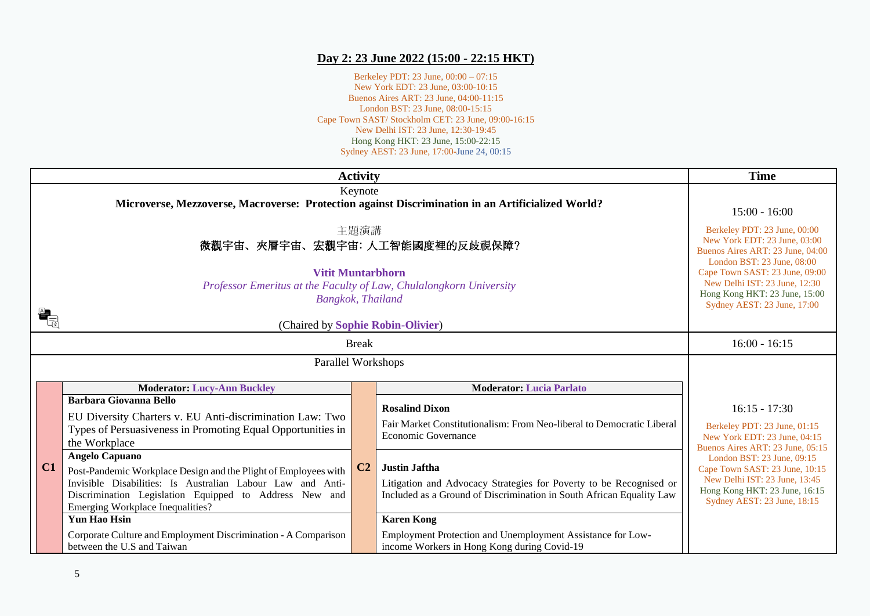## **Day 2: 23 June 2022 (15:00 - 22:15 HKT)**

Berkeley PDT: 23 June, 00:00 – 07:15 New York EDT: 23 June, 03:00-10:15 Buenos Aires ART: 23 June, 04:00-11:15 London BST: 23 June, 08:00-15:15 Cape Town SAST/ Stockholm CET: 23 June, 09:00-16:15 New Delhi IST: 23 June, 12:30-19:45 Hong Kong HKT: 23 June, 15:00-22:15 Sydney AEST: 23 June, 17:00-June 24, 00:15

|    | <b>Activity</b>                                                                                                                                                                                                                                                                                                                               | <b>Time</b>                                                                                                                     |                                                                                                                                                                                                                                                       |                                                                                                                                                               |
|----|-----------------------------------------------------------------------------------------------------------------------------------------------------------------------------------------------------------------------------------------------------------------------------------------------------------------------------------------------|---------------------------------------------------------------------------------------------------------------------------------|-------------------------------------------------------------------------------------------------------------------------------------------------------------------------------------------------------------------------------------------------------|---------------------------------------------------------------------------------------------------------------------------------------------------------------|
|    | Keynote<br>Microverse, Mezzoverse, Macroverse: Protection against Discrimination in an Artificialized World?                                                                                                                                                                                                                                  | $15:00 - 16:00$                                                                                                                 |                                                                                                                                                                                                                                                       |                                                                                                                                                               |
|    | 主題演講<br>微觀宇宙、夾層宇宙、宏觀宇宙:人工智能國度裡的反歧視保障?                                                                                                                                                                                                                                                                                                         | Berkeley PDT: 23 June, 00:00<br>New York EDT: 23 June, 03:00<br>Buenos Aires ART: 23 June, 04:00<br>London BST: 23 June, 08:00  |                                                                                                                                                                                                                                                       |                                                                                                                                                               |
|    | <b>Vitit Muntarbhorn</b><br>Professor Emeritus at the Faculty of Law, Chulalongkorn University<br>Bangkok, Thailand<br>(Chaired by Sophie Robin-Olivier)                                                                                                                                                                                      | Cape Town SAST: 23 June, 09:00<br>New Delhi IST: 23 June, 12:30<br>Hong Kong HKT: 23 June, 15:00<br>Sydney AEST: 23 June, 17:00 |                                                                                                                                                                                                                                                       |                                                                                                                                                               |
|    | <b>Break</b>                                                                                                                                                                                                                                                                                                                                  | $16:00 - 16:15$                                                                                                                 |                                                                                                                                                                                                                                                       |                                                                                                                                                               |
|    | Parallel Workshops                                                                                                                                                                                                                                                                                                                            |                                                                                                                                 |                                                                                                                                                                                                                                                       |                                                                                                                                                               |
|    | <b>Moderator: Lucy-Ann Buckley</b>                                                                                                                                                                                                                                                                                                            |                                                                                                                                 | <b>Moderator: Lucia Parlato</b>                                                                                                                                                                                                                       |                                                                                                                                                               |
|    | <b>Barbara Giovanna Bello</b><br>EU Diversity Charters v. EU Anti-discrimination Law: Two<br>Types of Persuasiveness in Promoting Equal Opportunities in<br>the Workplace                                                                                                                                                                     |                                                                                                                                 | <b>Rosalind Dixon</b><br>Fair Market Constitutionalism: From Neo-liberal to Democratic Liberal<br>Economic Governance                                                                                                                                 | $16:15 - 17:30$<br>Berkeley PDT: 23 June, 01:15<br>New York EDT: 23 June, 04:15<br>Buenos Aires ART: 23 June, 05:15                                           |
| C1 | <b>Angelo Capuano</b><br>Post-Pandemic Workplace Design and the Plight of Employees with<br>Invisible Disabilities: Is Australian Labour Law and Anti-<br>Discrimination Legislation Equipped to Address New and<br>Emerging Workplace Inequalities?<br><b>Yun Hao Hsin</b><br>Corporate Culture and Employment Discrimination - A Comparison | C2                                                                                                                              | <b>Justin Jaftha</b><br>Litigation and Advocacy Strategies for Poverty to be Recognised or<br>Included as a Ground of Discrimination in South African Equality Law<br><b>Karen Kong</b><br>Employment Protection and Unemployment Assistance for Low- | London BST: 23 June, 09:15<br>Cape Town SAST: 23 June, 10:15<br>New Delhi IST: 23 June, 13:45<br>Hong Kong HKT: 23 June, 16:15<br>Sydney AEST: 23 June, 18:15 |
|    | between the U.S and Taiwan                                                                                                                                                                                                                                                                                                                    |                                                                                                                                 | income Workers in Hong Kong during Covid-19                                                                                                                                                                                                           |                                                                                                                                                               |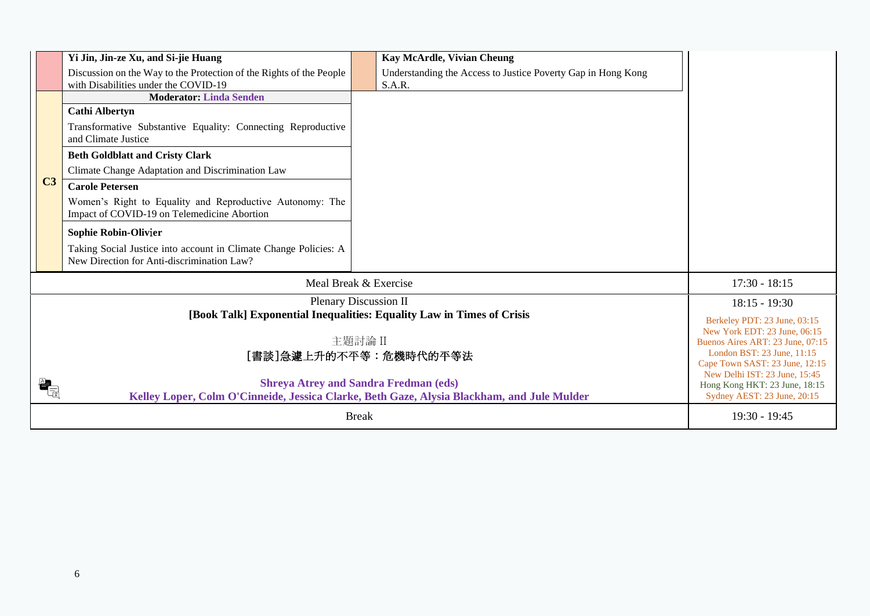|                      | Yi Jin, Jin-ze Xu, and Si-jie Huang                                                                            | Kay McArdle, Vivian Cheung                                                                 |                                                                |
|----------------------|----------------------------------------------------------------------------------------------------------------|--------------------------------------------------------------------------------------------|----------------------------------------------------------------|
|                      | Discussion on the Way to the Protection of the Rights of the People<br>with Disabilities under the COVID-19    | Understanding the Access to Justice Poverty Gap in Hong Kong<br>S.A.R.                     |                                                                |
|                      | <b>Moderator: Linda Senden</b>                                                                                 |                                                                                            |                                                                |
|                      | <b>Cathi Albertyn</b>                                                                                          |                                                                                            |                                                                |
|                      | Transformative Substantive Equality: Connecting Reproductive<br>and Climate Justice                            |                                                                                            |                                                                |
|                      | <b>Beth Goldblatt and Cristy Clark</b>                                                                         |                                                                                            |                                                                |
|                      | Climate Change Adaptation and Discrimination Law                                                               |                                                                                            |                                                                |
| C <sub>3</sub>       | <b>Carole Petersen</b>                                                                                         |                                                                                            |                                                                |
|                      | Women's Right to Equality and Reproductive Autonomy: The<br>Impact of COVID-19 on Telemedicine Abortion        |                                                                                            |                                                                |
|                      | <b>Sophie Robin-Olivier</b>                                                                                    |                                                                                            |                                                                |
|                      | Taking Social Justice into account in Climate Change Policies: A<br>New Direction for Anti-discrimination Law? |                                                                                            |                                                                |
|                      |                                                                                                                | Meal Break & Exercise                                                                      | $17:30 - 18:15$                                                |
|                      |                                                                                                                | Plenary Discussion II                                                                      | $18:15 - 19:30$                                                |
|                      |                                                                                                                | [Book Talk] Exponential Inequalities: Equality Law in Times of Crisis                      | Berkeley PDT: 23 June, 03:15                                   |
|                      |                                                                                                                |                                                                                            | New York EDT: 23 June, 06:15                                   |
|                      |                                                                                                                | 主題討論 II<br>[書談]急遽上升的不平等:危機時代的平等法                                                           | Buenos Aires ART: 23 June, 07:15<br>London BST: 23 June, 11:15 |
|                      |                                                                                                                |                                                                                            | Cape Town SAST: 23 June, 12:15                                 |
|                      |                                                                                                                | <b>Shreya Atrey and Sandra Fredman (eds)</b>                                               | New Delhi IST: 23 June, 15:45<br>Hong Kong HKT: 23 June, 18:15 |
| $\frac{A}{\sqrt{2}}$ |                                                                                                                | Kelley Loper, Colm O'Cinneide, Jessica Clarke, Beth Gaze, Alysia Blackham, and Jule Mulder | Sydney AEST: 23 June, 20:15                                    |
|                      |                                                                                                                | <b>Break</b>                                                                               | $19:30 - 19:45$                                                |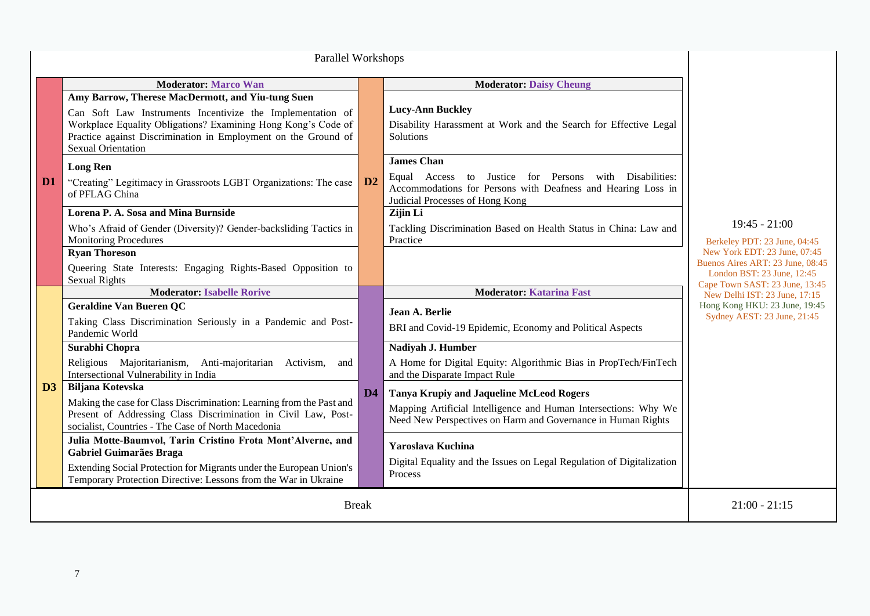| Parallel Workshops |                                                                                                                                                                                                                                                                                 |                |                                                                                                                                                                                    |                                                                                                                                                                                     |
|--------------------|---------------------------------------------------------------------------------------------------------------------------------------------------------------------------------------------------------------------------------------------------------------------------------|----------------|------------------------------------------------------------------------------------------------------------------------------------------------------------------------------------|-------------------------------------------------------------------------------------------------------------------------------------------------------------------------------------|
|                    | <b>Moderator: Marco Wan</b>                                                                                                                                                                                                                                                     |                | <b>Moderator: Daisy Cheung</b>                                                                                                                                                     |                                                                                                                                                                                     |
|                    | Amy Barrow, Therese MacDermott, and Yiu-tung Suen<br>Can Soft Law Instruments Incentivize the Implementation of<br>Workplace Equality Obligations? Examining Hong Kong's Code of<br>Practice against Discrimination in Employment on the Ground of<br><b>Sexual Orientation</b> |                | <b>Lucy-Ann Buckley</b><br>Disability Harassment at Work and the Search for Effective Legal<br><b>Solutions</b>                                                                    |                                                                                                                                                                                     |
| D <sub>1</sub>     | <b>Long Ren</b><br>"Creating" Legitimacy in Grassroots LGBT Organizations: The case<br>of PFLAG China                                                                                                                                                                           | D2             | <b>James Chan</b><br>Justice for Persons with Disabilities:<br>Equal Access to<br>Accommodations for Persons with Deafness and Hearing Loss in<br>Judicial Processes of Hong Kong  |                                                                                                                                                                                     |
|                    | Lorena P. A. Sosa and Mina Burnside<br>Who's Afraid of Gender (Diversity)? Gender-backsliding Tactics in<br><b>Monitoring Procedures</b>                                                                                                                                        |                | Zijin Li<br>Tackling Discrimination Based on Health Status in China: Law and<br>Practice                                                                                           | $19:45 - 21:00$<br>Berkeley PDT: 23 June, 04:45<br>New York EDT: 23 June, 07:45<br>Buenos Aires ART: 23 June, 08:45<br>London BST: 23 June, 12:45<br>Cape Town SAST: 23 June, 13:45 |
|                    | <b>Ryan Thoreson</b><br>Queering State Interests: Engaging Rights-Based Opposition to<br><b>Sexual Rights</b>                                                                                                                                                                   |                |                                                                                                                                                                                    |                                                                                                                                                                                     |
|                    | <b>Moderator: Isabelle Rorive</b>                                                                                                                                                                                                                                               |                | <b>Moderator: Katarina Fast</b>                                                                                                                                                    | New Delhi IST: 23 June, 17:15                                                                                                                                                       |
|                    | <b>Geraldine Van Bueren QC</b><br>Taking Class Discrimination Seriously in a Pandemic and Post-<br>Pandemic World                                                                                                                                                               |                | Jean A. Berlie<br>BRI and Covid-19 Epidemic, Economy and Political Aspects                                                                                                         | Hong Kong HKU: 23 June, 19:45<br>Sydney AEST: 23 June, 21:45                                                                                                                        |
|                    | Surabhi Chopra                                                                                                                                                                                                                                                                  |                | Nadiyah J. Humber                                                                                                                                                                  |                                                                                                                                                                                     |
|                    | Religious Majoritarianism, Anti-majoritarian Activism,<br>and<br>Intersectional Vulnerability in India                                                                                                                                                                          |                | A Home for Digital Equity: Algorithmic Bias in PropTech/FinTech<br>and the Disparate Impact Rule                                                                                   |                                                                                                                                                                                     |
| $\mathbf{D}3$      | <b>Biljana Kotevska</b><br>Making the case for Class Discrimination: Learning from the Past and<br>Present of Addressing Class Discrimination in Civil Law, Post-<br>socialist, Countries - The Case of North Macedonia                                                         | D <sub>4</sub> | <b>Tanya Krupiy and Jaqueline McLeod Rogers</b><br>Mapping Artificial Intelligence and Human Intersections: Why We<br>Need New Perspectives on Harm and Governance in Human Rights |                                                                                                                                                                                     |
|                    | Julia Motte-Baumvol, Tarin Cristino Frota Mont'Alverne, and<br><b>Gabriel Guimarães Braga</b><br>Extending Social Protection for Migrants under the European Union's                                                                                                            |                | Yaroslava Kuchina<br>Digital Equality and the Issues on Legal Regulation of Digitalization<br>Process                                                                              |                                                                                                                                                                                     |
|                    | Temporary Protection Directive: Lessons from the War in Ukraine                                                                                                                                                                                                                 |                |                                                                                                                                                                                    |                                                                                                                                                                                     |
|                    | <b>Break</b>                                                                                                                                                                                                                                                                    |                |                                                                                                                                                                                    | $21:00 - 21:15$                                                                                                                                                                     |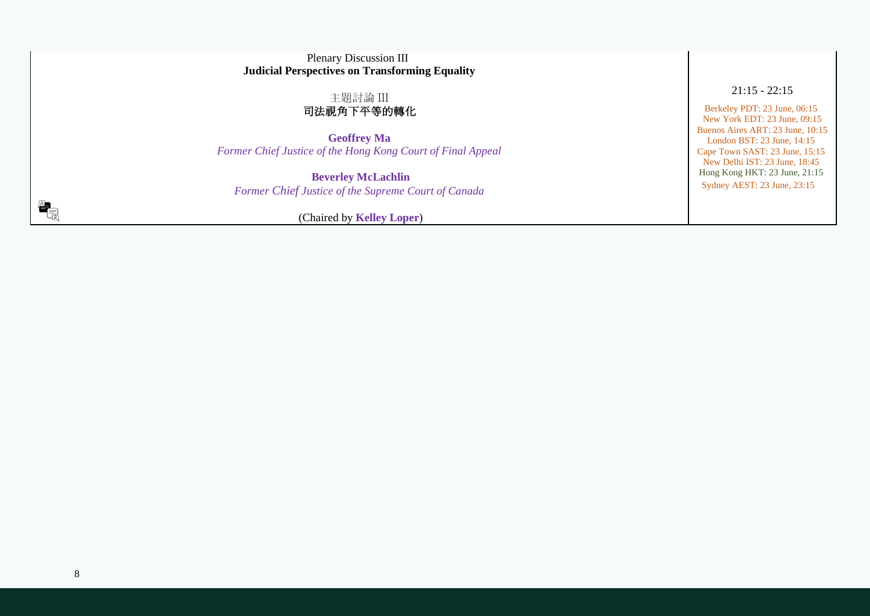| <b>Plenary Discussion III</b><br><b>Judicial Perspectives on Transforming Equality</b>       |                                                                                                                                   |
|----------------------------------------------------------------------------------------------|-----------------------------------------------------------------------------------------------------------------------------------|
| 主題討論 III<br>司法視角下平等的轉化                                                                       | $21:15 - 22:15$<br>Berkeley PDT: 23 June, 06:15<br>New York EDT: 23 June, 09:15                                                   |
| <b>Geoffrey Ma</b><br>Former Chief Justice of the Hong Kong Court of Final Appeal            | Buenos Aires ART: 23 June, 10:15<br>London BST: 23 June, 14:15<br>Cape Town SAST: 23 June, 15:15<br>New Delhi IST: 23 June, 18:45 |
| <b>Beverley McLachlin</b><br>Former Chief Justice of the Supreme Court of Canada             | Hong Kong HKT: 23 June, 21:15<br>Sydney AEST: 23 June, 23:15                                                                      |
| $\begin{array}{c} \mathbb{A} \ \hline \ \mathbb{B} \end{array}$<br>(Chaired by Kelley Loper) |                                                                                                                                   |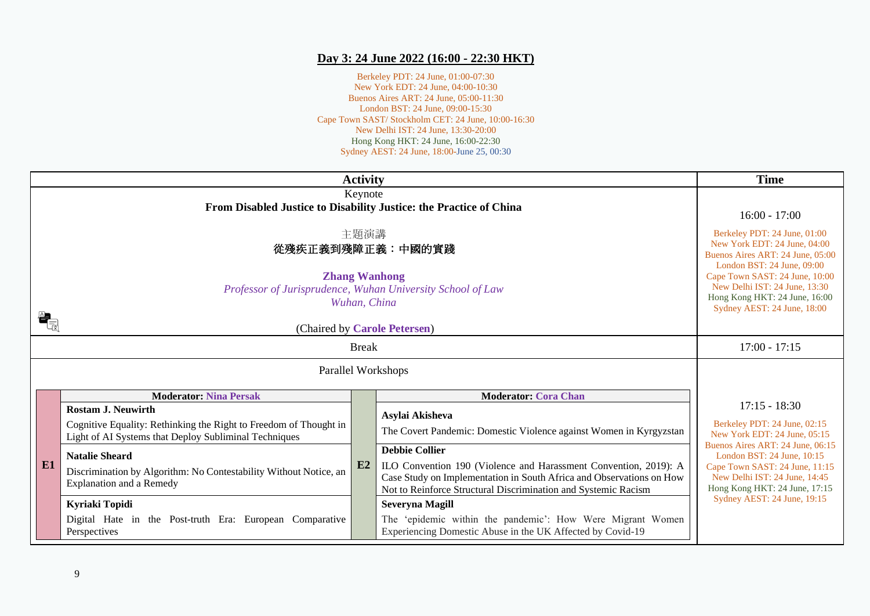#### **Day 3: 24 June 2022 (16:00 - 22:30 HKT)**

Berkeley PDT: 24 June, 01:00-07:30 New York EDT: 24 June, 04:00-10:30 Buenos Aires ART: 24 June, 05:00-11:30 London BST: 24 June, 09:00-15:30 Cape Town SAST/ Stockholm CET: 24 June, 10:00-16:30 New Delhi IST: 24 June, 13:30-20:00 Hong Kong HKT: 24 June, 16:00-22:30 Sydney AEST: 24 June, 18:00-June 25, 00:30

|                                                              | <b>Activity</b>                                                                                                                                         | <b>Time</b>                                                                                                                     |                                                                                                                                                                                                                                     |                                                                                                                                                                    |
|--------------------------------------------------------------|---------------------------------------------------------------------------------------------------------------------------------------------------------|---------------------------------------------------------------------------------------------------------------------------------|-------------------------------------------------------------------------------------------------------------------------------------------------------------------------------------------------------------------------------------|--------------------------------------------------------------------------------------------------------------------------------------------------------------------|
|                                                              | Keynote<br>From Disabled Justice to Disability Justice: the Practice of China                                                                           | $16:00 - 17:00$                                                                                                                 |                                                                                                                                                                                                                                     |                                                                                                                                                                    |
|                                                              | 主題演講<br>從殘疾正義到殘障正義:中國的實踐                                                                                                                                | Berkeley PDT: 24 June, 01:00<br>New York EDT: 24 June, 04:00<br>Buenos Aires ART: 24 June, 05:00<br>London BST: 24 June, 09:00  |                                                                                                                                                                                                                                     |                                                                                                                                                                    |
|                                                              | <b>Zhang Wanhong</b><br>Professor of Jurisprudence, Wuhan University School of Law<br>Wuhan, China                                                      | Cape Town SAST: 24 June, 10:00<br>New Delhi IST: 24 June, 13:30<br>Hong Kong HKT: 24 June, 16:00<br>Sydney AEST: 24 June, 18:00 |                                                                                                                                                                                                                                     |                                                                                                                                                                    |
|                                                              | (Chaired by Carole Petersen)                                                                                                                            |                                                                                                                                 |                                                                                                                                                                                                                                     |                                                                                                                                                                    |
|                                                              | <b>Break</b>                                                                                                                                            | $17:00 - 17:15$                                                                                                                 |                                                                                                                                                                                                                                     |                                                                                                                                                                    |
|                                                              | Parallel Workshops                                                                                                                                      |                                                                                                                                 |                                                                                                                                                                                                                                     |                                                                                                                                                                    |
| <b>Moderator: Nina Persak</b><br><b>Moderator: Cora Chan</b> |                                                                                                                                                         |                                                                                                                                 |                                                                                                                                                                                                                                     |                                                                                                                                                                    |
|                                                              | <b>Rostam J. Neuwirth</b><br>Cognitive Equality: Rethinking the Right to Freedom of Thought in<br>Light of AI Systems that Deploy Subliminal Techniques |                                                                                                                                 | Asylai Akisheva<br>The Covert Pandemic: Domestic Violence against Women in Kyrgyzstan                                                                                                                                               | $17:15 - 18:30$<br>Berkeley PDT: 24 June, 02:15<br>New York EDT: 24 June, 05:15                                                                                    |
| E1                                                           | <b>Natalie Sheard</b><br>Discrimination by Algorithm: No Contestability Without Notice, an<br><b>Explanation and a Remedy</b>                           | E2                                                                                                                              | <b>Debbie Collier</b><br>ILO Convention 190 (Violence and Harassment Convention, 2019): A<br>Case Study on Implementation in South Africa and Observations on How<br>Not to Reinforce Structural Discrimination and Systemic Racism | Buenos Aires ART: 24 June, 06:15<br>London BST: 24 June, 10:15<br>Cape Town SAST: 24 June, 11:15<br>New Delhi IST: 24 June, 14:45<br>Hong Kong HKT: 24 June, 17:15 |
|                                                              | Kyriaki Topidi                                                                                                                                          |                                                                                                                                 | <b>Severyna Magill</b>                                                                                                                                                                                                              | Sydney AEST: 24 June, 19:15                                                                                                                                        |
|                                                              | Digital Hate in the Post-truth Era: European Comparative<br>Perspectives                                                                                |                                                                                                                                 | The 'epidemic within the pandemic': How Were Migrant Women<br>Experiencing Domestic Abuse in the UK Affected by Covid-19                                                                                                            |                                                                                                                                                                    |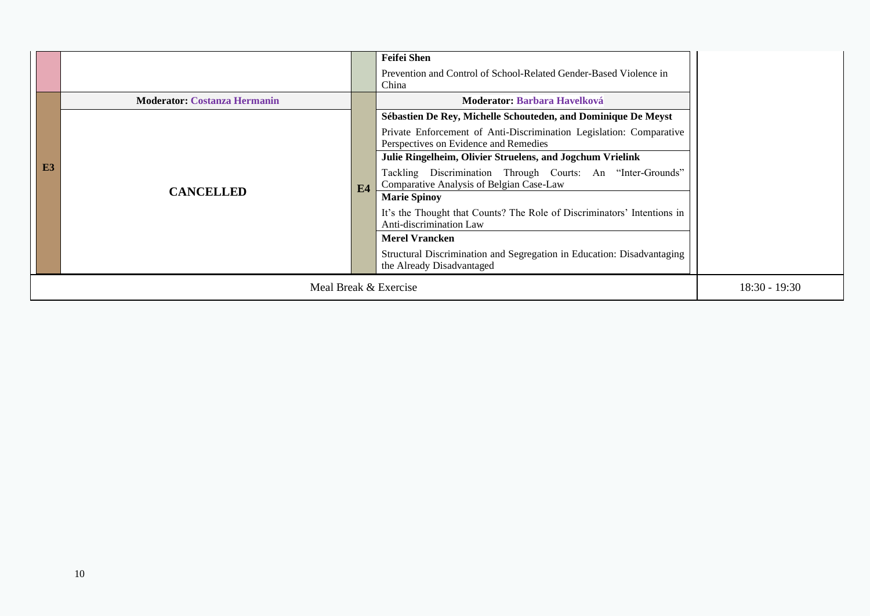|    |                                     |                                                                                                                             | <b>Feifei Shen</b><br>Prevention and Control of School-Related Gender-Based Violence in<br>China                                                                                                                                           |  |
|----|-------------------------------------|-----------------------------------------------------------------------------------------------------------------------------|--------------------------------------------------------------------------------------------------------------------------------------------------------------------------------------------------------------------------------------------|--|
|    | <b>Moderator: Costanza Hermanin</b> |                                                                                                                             | <b>Moderator: Barbara Havelková</b>                                                                                                                                                                                                        |  |
|    |                                     |                                                                                                                             | Sébastien De Rey, Michelle Schouteden, and Dominique De Meyst<br>Private Enforcement of Anti-Discrimination Legislation: Comparative<br>Perspectives on Evidence and Remedies<br>Julie Ringelheim, Olivier Struelens, and Jogchum Vrielink |  |
| E3 | <b>CANCELLED</b>                    | E <sub>4</sub>                                                                                                              | Tackling Discrimination Through Courts: An "Inter-Grounds"<br>Comparative Analysis of Belgian Case-Law<br><b>Marie Spinoy</b>                                                                                                              |  |
|    |                                     | It's the Thought that Counts? The Role of Discriminators' Intentions in<br>Anti-discrimination Law<br><b>Merel Vrancken</b> |                                                                                                                                                                                                                                            |  |
|    |                                     |                                                                                                                             | Structural Discrimination and Segregation in Education: Disadvantaging<br>the Already Disadvantaged                                                                                                                                        |  |
|    | Meal Break & Exercise               |                                                                                                                             |                                                                                                                                                                                                                                            |  |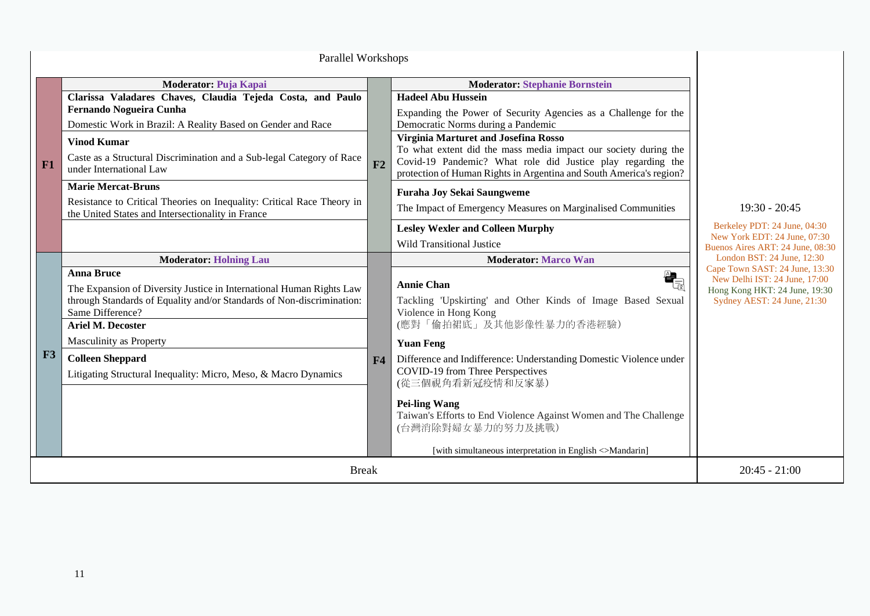|    | Parallel Workshops                                                                                                                                                                                                                                                                                                                                                                                                                                                  |    |                                                                                                                                                                                                                                                                                                                                                                                                                                                                                                                                                                                                           |                                                                                                                                                               |
|----|---------------------------------------------------------------------------------------------------------------------------------------------------------------------------------------------------------------------------------------------------------------------------------------------------------------------------------------------------------------------------------------------------------------------------------------------------------------------|----|-----------------------------------------------------------------------------------------------------------------------------------------------------------------------------------------------------------------------------------------------------------------------------------------------------------------------------------------------------------------------------------------------------------------------------------------------------------------------------------------------------------------------------------------------------------------------------------------------------------|---------------------------------------------------------------------------------------------------------------------------------------------------------------|
| F1 | Moderator: Puja Kapai<br>Clarissa Valadares Chaves, Claudia Tejeda Costa, and Paulo<br>Fernando Nogueira Cunha<br>Domestic Work in Brazil: A Reality Based on Gender and Race<br><b>Vinod Kumar</b><br>Caste as a Structural Discrimination and a Sub-legal Category of Race<br>under International Law<br><b>Marie Mercat-Bruns</b><br>Resistance to Critical Theories on Inequality: Critical Race Theory in<br>the United States and Intersectionality in France | F2 | <b>Moderator: Stephanie Bornstein</b><br><b>Hadeel Abu Hussein</b><br>Expanding the Power of Security Agencies as a Challenge for the<br>Democratic Norms during a Pandemic<br>Virginia Marturet and Josefina Rosso<br>To what extent did the mass media impact our society during the<br>Covid-19 Pandemic? What role did Justice play regarding the<br>protection of Human Rights in Argentina and South America's region?<br><b>Furaha Joy Sekai Saungweme</b><br>The Impact of Emergency Measures on Marginalised Communities<br><b>Lesley Wexler and Colleen Murphy</b><br>Wild Transitional Justice | $19:30 - 20:45$<br>Berkeley PDT: 24 June, 04:30<br>New York EDT: 24 June, 07:30<br>Buenos Aires ART: 24 June, 08:30                                           |
| F3 | <b>Moderator: Holning Lau</b><br><b>Anna Bruce</b><br>The Expansion of Diversity Justice in International Human Rights Law<br>through Standards of Equality and/or Standards of Non-discrimination:<br>Same Difference?<br><b>Ariel M. Decoster</b><br>Masculinity as Property<br><b>Colleen Sheppard</b><br>Litigating Structural Inequality: Micro, Meso, & Macro Dynamics                                                                                        | F4 | <b>Moderator: Marco Wan</b><br>$\mathbf{a}_{\! \equiv}$<br><b>Annie Chan</b><br>Tackling 'Upskirting' and Other Kinds of Image Based Sexual<br>Violence in Hong Kong<br>(應對「偷拍裙底」及其他影像性暴力的香港經驗)<br><b>Yuan Feng</b><br>Difference and Indifference: Understanding Domestic Violence under<br>COVID-19 from Three Perspectives<br>(從三個視角看新冠疫情和反家暴)<br><b>Pei-ling Wang</b><br>Taiwan's Efforts to End Violence Against Women and The Challenge<br>(台灣消除對婦女暴力的努力及挑戰)<br>[with simultaneous interpretation in English <>Mandarin]                                                                            | London BST: 24 June, 12:30<br>Cape Town SAST: 24 June, 13:30<br>New Delhi IST: 24 June, 17:00<br>Hong Kong HKT: 24 June, 19:30<br>Sydney AEST: 24 June, 21:30 |
|    | $20:45 - 21:00$                                                                                                                                                                                                                                                                                                                                                                                                                                                     |    |                                                                                                                                                                                                                                                                                                                                                                                                                                                                                                                                                                                                           |                                                                                                                                                               |